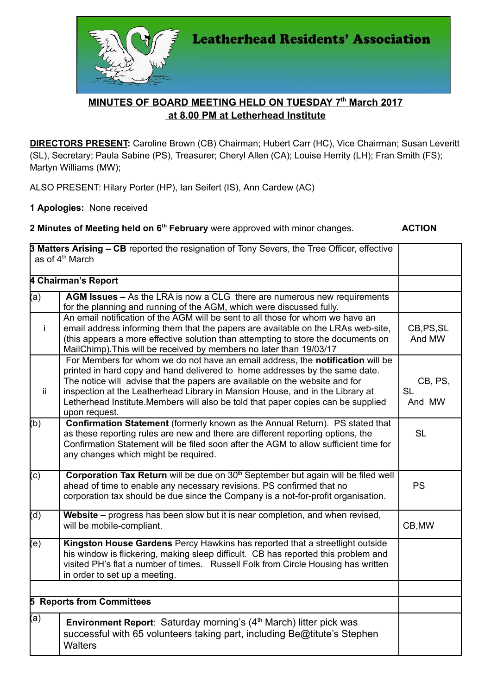

## **MINUTES OF BOARD MEETING HELD ON TUESDAY 7th March 2017 at 8.00 PM at Letherhead Institute**

**DIRECTORS PRESENT:** Caroline Brown (CB) Chairman; Hubert Carr (HC), Vice Chairman; Susan Leveritt (SL), Secretary; Paula Sabine (PS), Treasurer; Cheryl Allen (CA); Louise Herrity (LH); Fran Smith (FS); Martyn Williams (MW);

ALSO PRESENT: Hilary Porter (HP), Ian Seifert (IS), Ann Cardew (AC)

**1 Apologies:** None received

**2 Minutes of Meeting held on 6th February** were approved with minor changes. **ACTION**

| 3 Matters Arising - CB reported the resignation of Tony Severs, the Tree Officer, effective<br>as of 4 <sup>th</sup> March |                                                                                                                                                                                                                                                                                                                                                                                                                                     |                                |
|----------------------------------------------------------------------------------------------------------------------------|-------------------------------------------------------------------------------------------------------------------------------------------------------------------------------------------------------------------------------------------------------------------------------------------------------------------------------------------------------------------------------------------------------------------------------------|--------------------------------|
| 4 Chairman's Report                                                                                                        |                                                                                                                                                                                                                                                                                                                                                                                                                                     |                                |
| (a)                                                                                                                        | AGM Issues - As the LRA is now a CLG there are numerous new requirements<br>for the planning and running of the AGM, which were discussed fully.                                                                                                                                                                                                                                                                                    |                                |
| j.                                                                                                                         | An email notification of the AGM will be sent to all those for whom we have an<br>email address informing them that the papers are available on the LRAs web-site,<br>(this appears a more effective solution than attempting to store the documents on<br>MailChimp). This will be received by members no later than 19/03/17                                                                                                      | CB, PS, SL<br>And MW           |
| ii.                                                                                                                        | For Members for whom we do not have an email address, the notification will be<br>printed in hard copy and hand delivered to home addresses by the same date.<br>The notice will advise that the papers are available on the website and for<br>inspection at the Leatherhead Library in Mansion House, and in the Library at<br>Letherhead Institute. Members will also be told that paper copies can be supplied<br>upon request. | CB, PS,<br><b>SL</b><br>And MW |
| (b)                                                                                                                        | Confirmation Statement (formerly known as the Annual Return). PS stated that<br>as these reporting rules are new and there are different reporting options, the<br>Confirmation Statement will be filed soon after the AGM to allow sufficient time for<br>any changes which might be required.                                                                                                                                     | <b>SL</b>                      |
| (c)                                                                                                                        | Corporation Tax Return will be due on 30 <sup>th</sup> September but again will be filed well<br>ahead of time to enable any necessary revisions. PS confirmed that no<br>corporation tax should be due since the Company is a not-for-profit organisation.                                                                                                                                                                         | <b>PS</b>                      |
| (d)                                                                                                                        | Website - progress has been slow but it is near completion, and when revised,<br>will be mobile-compliant.                                                                                                                                                                                                                                                                                                                          | CB, MW                         |
| (e)                                                                                                                        | Kingston House Gardens Percy Hawkins has reported that a streetlight outside<br>his window is flickering, making sleep difficult. CB has reported this problem and<br>visited PH's flat a number of times. Russell Folk from Circle Housing has written<br>in order to set up a meeting.                                                                                                                                            |                                |
|                                                                                                                            |                                                                                                                                                                                                                                                                                                                                                                                                                                     |                                |
| <b>5 Reports from Committees</b>                                                                                           |                                                                                                                                                                                                                                                                                                                                                                                                                                     |                                |
| (a)                                                                                                                        | Environment Report: Saturday morning's (4 <sup>th</sup> March) litter pick was<br>successful with 65 volunteers taking part, including Be@titute's Stephen<br>Walters                                                                                                                                                                                                                                                               |                                |